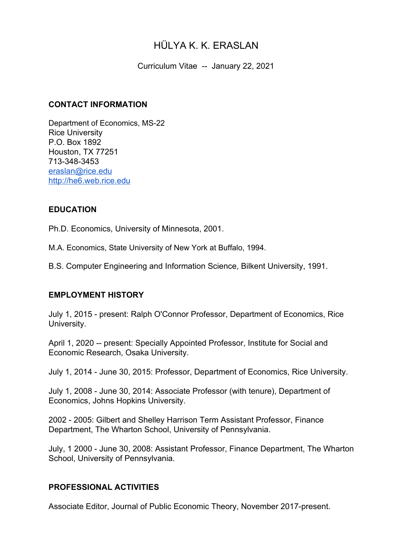# HÜLYA K. K. ERASLAN

Curriculum Vitae -- January 22, 2021

#### **CONTACT INFORMATION**

Department of Economics, MS-22 Rice University P.O. Box 1892 Houston, TX 77251 713-348-3453 [eraslan@rice.edu](mailto:eraslan@rice.edu) [http://he6.web.rice.edu](http://he6.web.rice.edu/)

## **EDUCATION**

Ph.D. Economics, University of Minnesota, 2001.

M.A. Economics, State University of New York at Buffalo, 1994.

B.S. Computer Engineering and Information Science, Bilkent University, 1991.

## **EMPLOYMENT HISTORY**

July 1, 2015 - present: Ralph O'Connor Professor, Department of Economics, Rice University.

April 1, 2020 -- present: Specially Appointed Professor, Institute for Social and Economic Research, Osaka University.

July 1, 2014 - June 30, 2015: Professor, Department of Economics, Rice University.

July 1, 2008 - June 30, 2014: Associate Professor (with tenure), Department of Economics, Johns Hopkins University.

2002 - 2005: Gilbert and Shelley Harrison Term Assistant Professor, Finance Department, The Wharton School, University of Pennsylvania.

July, 1 2000 - June 30, 2008: Assistant Professor, Finance Department, The Wharton School, University of Pennsylvania.

## **PROFESSIONAL ACTIVITIES**

Associate Editor, Journal of Public Economic Theory, November 2017-present.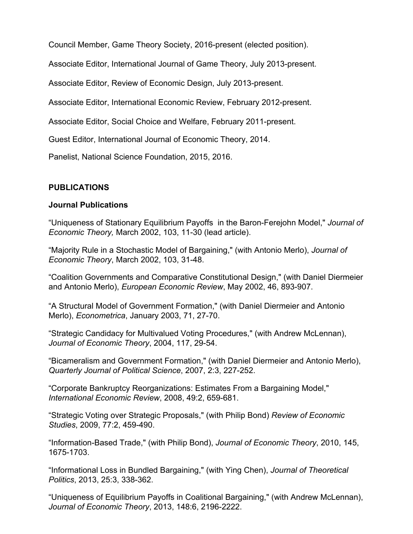Council Member, Game Theory Society, 2016-present (elected position).

Associate Editor, International Journal of Game Theory, July 2013-present.

Associate Editor, Review of Economic Design, July 2013-present.

Associate Editor, International Economic Review, February 2012-present.

Associate Editor, Social Choice and Welfare, February 2011-present.

Guest Editor, International Journal of Economic Theory, 2014.

Panelist, National Science Foundation, 2015, 2016.

## **PUBLICATIONS**

#### **Journal Publications**

"Uniqueness of Stationary Equilibrium Payoffs in the Baron-Ferejohn Model," *Journal of Economic Theory,* March 2002, 103, 11-30 (lead article).

"Majority Rule in a Stochastic Model of Bargaining," (with Antonio Merlo), *Journal of Economic Theory*, March 2002, 103, 31-48.

"Coalition Governments and Comparative Constitutional Design," (with Daniel Diermeier and Antonio Merlo), *European Economic Review*, May 2002, 46, 893-907.

"A Structural Model of Government Formation," (with Daniel Diermeier and Antonio Merlo), *Econometrica*, January 2003, 71, 27-70.

"Strategic Candidacy for Multivalued Voting Procedures," (with Andrew McLennan), *Journal of Economic Theory*, 2004, 117, 29-54.

"Bicameralism and Government Formation," (with Daniel Diermeier and Antonio Merlo), *Quarterly Journal of Political Science*, 2007, 2:3, 227-252.

"Corporate Bankruptcy Reorganizations: Estimates From a Bargaining Model," *International Economic Review*, 2008, 49:2, 659-681.

"Strategic Voting over Strategic Proposals," (with Philip Bond) *Review of Economic Studies*, 2009, 77:2, 459-490.

"Information-Based Trade," (with Philip Bond), *Journal of Economic Theory*, 2010, 145, 1675-1703.

"Informational Loss in Bundled Bargaining," (with Ying Chen), *Journal of Theoretical Politics*, 2013, 25:3, 338-362.

"Uniqueness of Equilibrium Payoffs in Coalitional Bargaining," (with Andrew McLennan), *Journal of Economic Theory*, 2013, 148:6, 2196-2222.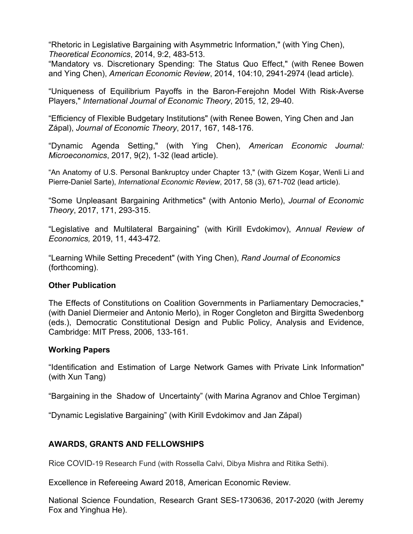"Rhetoric in Legislative Bargaining with Asymmetric Information," (with Ying Chen), *Theoretical Economics*, 2014, 9:2, 483-513.

"Mandatory vs. Discretionary Spending: The Status Quo Effect," (with Renee Bowen and Ying Chen), *American Economic Review*, 2014, 104:10, 2941-2974 (lead article).

"Uniqueness of Equilibrium Payoffs in the Baron-Ferejohn Model With Risk-Averse Players," *International Journal of Economic Theory*, 2015, 12, 29-40.

"Efficiency of Flexible Budgetary Institutions" (with Renee Bowen, Ying Chen and Jan Zápal), *Journal of Economic Theory*, 2017, 167, 148-176.

"Dynamic Agenda Setting," (with Ying Chen), *American Economic Journal: Microeconomics*, 2017, 9(2), 1-32 (lead article).

"An Anatomy of U.S. Personal Bankruptcy under Chapter 13," (with Gizem Koşar, Wenli Li and Pierre-Daniel Sarte), *International Economic Review*, 2017, 58 (3), 671-702 (lead article).

"Some Unpleasant Bargaining Arithmetics" (with Antonio Merlo), *Journal of Economic Theory*, 2017, 171, 293-315.

"Legislative and Multilateral Bargaining" (with Kirill Evdokimov), *Annual Review of Economics,* 2019, 11, 443-472.

"Learning While Setting Precedent" (with Ying Chen), *Rand Journal of Economics* (forthcoming).

#### **Other Publication**

The Effects of Constitutions on Coalition Governments in Parliamentary Democracies," (with Daniel Diermeier and Antonio Merlo), in Roger Congleton and Birgitta Swedenborg (eds.), Democratic Constitutional Design and Public Policy, Analysis and Evidence, Cambridge: MIT Press, 2006, 133-161.

#### **Working Papers**

"Identification and Estimation of Large Network Games with Private Link Information" (with Xun Tang)

"Bargaining in the Shadow of Uncertainty" (with Marina Agranov and Chloe Tergiman)

"Dynamic Legislative Bargaining" (with Kirill Evdokimov and Jan Zápal)

## **AWARDS, GRANTS AND FELLOWSHIPS**

Rice COVID-19 Research Fund (with Rossella Calvi, Dibya Mishra and Ritika Sethi).

Excellence in Refereeing Award 2018, American Economic Review.

National Science Foundation, Research Grant SES-1730636, 2017-2020 (with Jeremy Fox and Yinghua He).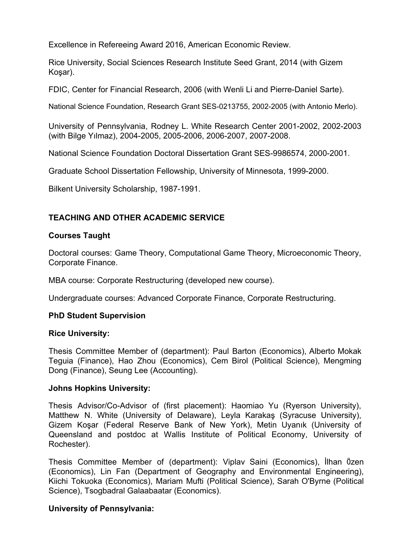Excellence in Refereeing Award 2016, American Economic Review.

Rice University, Social Sciences Research Institute Seed Grant, 2014 (with Gizem Koşar).

FDIC, Center for Financial Research, 2006 (with Wenli Li and Pierre-Daniel Sarte).

National Science Foundation, Research Grant SES-0213755, 2002-2005 (with Antonio Merlo).

University of Pennsylvania, Rodney L. White Research Center 2001-2002, 2002-2003 (with Bilge Yılmaz), 2004-2005, 2005-2006, 2006-2007, 2007-2008.

National Science Foundation Doctoral Dissertation Grant SES-9986574, 2000-2001.

Graduate School Dissertation Fellowship, University of Minnesota, 1999-2000.

Bilkent University Scholarship, 1987-1991.

# **TEACHING AND OTHER ACADEMIC SERVICE**

## **Courses Taught**

Doctoral courses: Game Theory, Computational Game Theory, Microeconomic Theory, Corporate Finance.

MBA course: Corporate Restructuring (developed new course).

Undergraduate courses: Advanced Corporate Finance, Corporate Restructuring.

#### **PhD Student Supervision**

#### **Rice University:**

Thesis Committee Member of (department): Paul Barton (Economics), Alberto Mokak Teguia (Finance), Hao Zhou (Economics), Cem Birol (Political Science), Mengming Dong (Finance), Seung Lee (Accounting).

#### **Johns Hopkins University:**

Thesis Advisor/Co-Advisor of (first placement): Haomiao Yu (Ryerson University), Matthew N. White (University of Delaware), Leyla Karakaş (Syracuse University), Gizem Koşar (Federal Reserve Bank of New York), Metin Uyanık (University of Queensland and postdoc at Wallis Institute of Political Economy, University of Rochester).

Thesis Committee Member of (department): Viplav Saini (Economics), İlhan Ӧzen (Economics), Lin Fan (Department of Geography and Environmental Engineering), Kiichi Tokuoka (Economics), Mariam Mufti (Political Science), Sarah O'Byrne (Political Science), Tsogbadral Galaabaatar (Economics).

## **University of Pennsylvania:**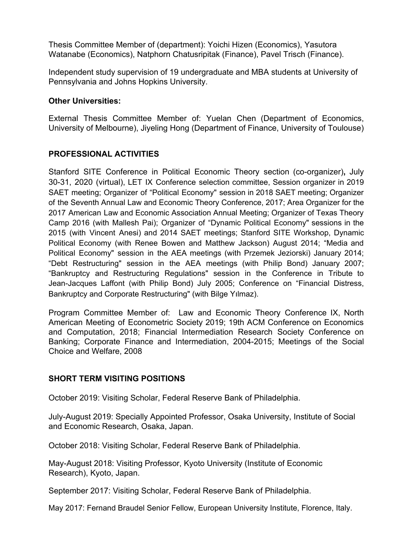Thesis Committee Member of (department): Yoichi Hizen (Economics), Yasutora Watanabe (Economics), Natphorn Chatusripitak (Finance), Pavel Trisch (Finance).

Independent study supervision of 19 undergraduate and MBA students at University of Pennsylvania and Johns Hopkins University.

#### **Other Universities:**

External Thesis Committee Member of: Yuelan Chen (Department of Economics, University of Melbourne), Jiyeling Hong (Department of Finance, University of Toulouse)

## **PROFESSIONAL ACTIVITIES**

Stanford SITE Conference in Political Economic Theory section (co-organizer)**,** July 30-31, 2020 (virtual), LET IX Conference selection committee, Session organizer in 2019 SAET meeting; Organizer of "Political Economy" session in 2018 SAET meeting; Organizer of the Seventh Annual Law and Economic Theory Conference, 2017; Area Organizer for the 2017 American Law and Economic Association Annual Meeting; Organizer of Texas Theory Camp 2016 (with Mallesh Pai); Organizer of "Dynamic Political Economy" sessions in the 2015 (with Vincent Anesi) and 2014 SAET meetings; Stanford SITE Workshop, Dynamic Political Economy (with Renee Bowen and Matthew Jackson) August 2014; "Media and Political Economy" session in the AEA meetings (with Przemek Jeziorski) January 2014; "Debt Restructuring" session in the AEA meetings (with Philip Bond) January 2007; "Bankruptcy and Restructuring Regulations" session in the Conference in Tribute to Jean-Jacques Laffont (with Philip Bond) July 2005; Conference on "Financial Distress, Bankruptcy and Corporate Restructuring" (with Bilge Yılmaz).

Program Committee Member of: Law and Economic Theory Conference IX, North American Meeting of Econometric Society 2019; 19th ACM Conference on Economics and Computation, 2018; Financial Intermediation Research Society Conference on Banking; Corporate Finance and Intermediation, 2004-2015; Meetings of the Social Choice and Welfare, 2008

## **SHORT TERM VISITING POSITIONS**

October 2019: Visiting Scholar, Federal Reserve Bank of Philadelphia.

July-August 2019: Specially Appointed Professor, Osaka University, Institute of Social and Economic Research, Osaka, Japan.

October 2018: Visiting Scholar, Federal Reserve Bank of Philadelphia.

May-August 2018: Visiting Professor, Kyoto University (Institute of Economic Research), Kyoto, Japan.

September 2017: Visiting Scholar, Federal Reserve Bank of Philadelphia.

May 2017: Fernand Braudel Senior Fellow, European University Institute, Florence, Italy.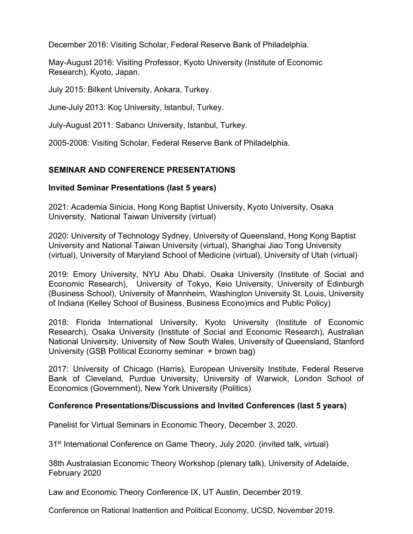December 2016: Visiting Scholar, Federal Reserve Bank of Philadelphia.

May-August 2016: Visiting Professor, Kyoto University (Institute of Economic Research), Kyoto, Japan.

July 2015: Bilkent University, Ankara, Turkey.

June-July 2013: Koç University, Istanbul, Turkey.

July-August 2011: Sabancı University, Istanbul, Turkey.

2005-2008: Visiting Scholar, Federal Reserve Bank of Philadelphia.

## **SEMINAR AND CONFERENCE PRESENTATIONS**

#### **Invited Seminar Presentations (last 5 years)**

2021: Academia Sinicia, Hong Kong Baptist University, Kyoto University, Osaka University, National Taiwan University (virtual)

2020: University of Technology Sydney, University of Queensland, Hong Kong Baptist University and National Taiwan University (virtual), Shanghai Jiao Tong University (virtual), University of Maryland School of Medicine (virtual), University of Utah (virtual)

2019: Emory University, NYU Abu Dhabi, Osaka University (Institute of Social and Economic Research), University of Tokyo, Keio University, University of Edinburgh (Business School), University of Mannheim, Washington University St. Louis, University of Indiana (Kelley School of Business, Business Econo)mics and Public Policy)

2018: Florida International University, Kyoto University (Institute of Economic Research), Osaka University (Institute of Social and Economic Research), Australian National University, University of New South Wales, University of Queensland, Stanford University (GSB Political Economy seminar + brown bag)

2017: University of Chicago (Harris), European University Institute, Federal Reserve Bank of Cleveland, Purdue University, University of Warwick, London School of Economics (Government), New York University (Politics)

## **Conference Presentations/Discussions and Invited Conferences (last 5 years)**

Panelist for Virtual Seminars in Economic Theory, December 3, 2020.

31<sup>st</sup> International Conference on Game Theory, July 2020. (invited talk, virtual)

38th Australasian Economic Theory Workshop (plenary talk), University of Adelaide, February 2020

Law and Economic Theory Conference IX, UT Austin, December 2019.

Conference on Rational Inattention and Political Economy, UCSD, November 2019.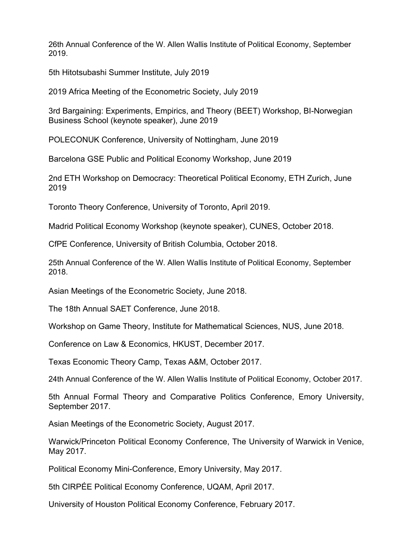26th Annual Conference of the W. Allen Wallis Institute of Political Economy, September 2019.

5th Hitotsubashi Summer Institute, July 2019

2019 Africa Meeting of the Econometric Society, July 2019

3rd Bargaining: Experiments, Empirics, and Theory (BEET) Workshop, BI-Norwegian Business School (keynote speaker), June 2019

POLECONUK Conference, University of Nottingham, June 2019

Barcelona GSE Public and Political Economy Workshop, June 2019

2nd ETH Workshop on Democracy: Theoretical Political Economy, ETH Zurich, June 2019

Toronto Theory Conference, University of Toronto, April 2019.

Madrid Political Economy Workshop (keynote speaker), CUNES, October 2018.

CfPE Conference, University of British Columbia, October 2018.

25th Annual Conference of the W. Allen Wallis Institute of Political Economy, September 2018.

Asian Meetings of the Econometric Society, June 2018.

The 18th Annual SAET Conference, June 2018.

Workshop on Game Theory, Institute for Mathematical Sciences, NUS, June 2018.

Conference on Law & Economics, HKUST, December 2017.

Texas Economic Theory Camp, Texas A&M, October 2017.

24th Annual Conference of the W. Allen Wallis Institute of Political Economy, October 2017.

5th Annual Formal Theory and Comparative Politics Conference, Emory University, September 2017.

Asian Meetings of the Econometric Society, August 2017.

Warwick/Princeton Political Economy Conference, The University of Warwick in Venice, May 2017.

Political Economy Mini-Conference, Emory University, May 2017.

5th CIRPÉE Political Economy Conference, UQAM, April 2017.

University of Houston Political Economy Conference, February 2017.